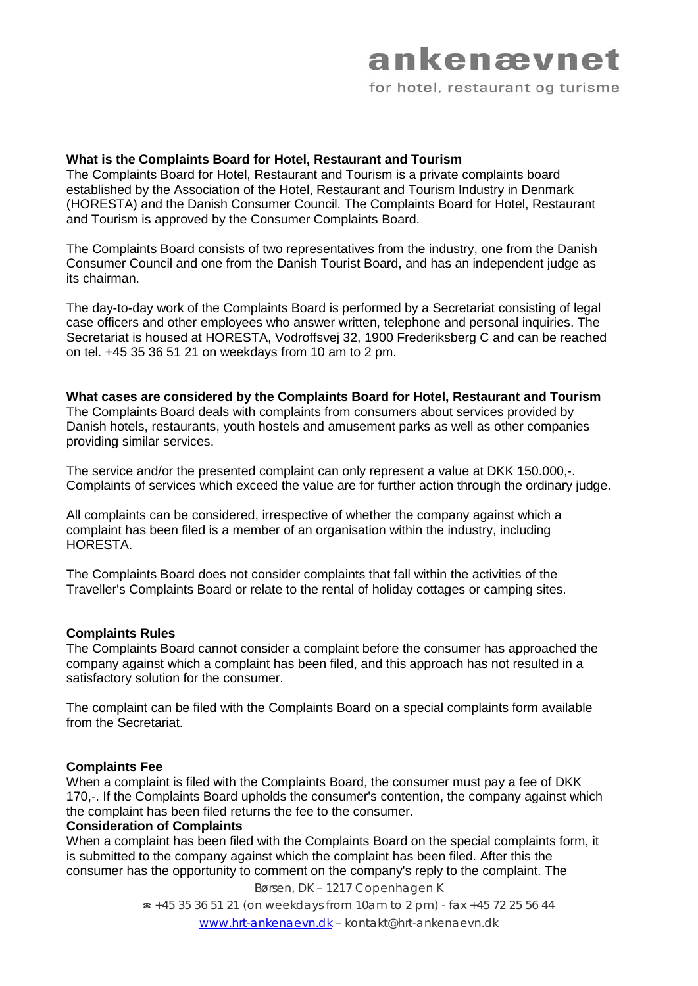## ankenævnet for hotel, restaurant og turisme

### **What is the Complaints Board for Hotel, Restaurant and Tourism**

The Complaints Board for Hotel, Restaurant and Tourism is a private complaints board established by the Association of the Hotel, Restaurant and Tourism Industry in Denmark (HORESTA) and the Danish Consumer Council. The Complaints Board for Hotel, Restaurant and Tourism is approved by the Consumer Complaints Board.

The Complaints Board consists of two representatives from the industry, one from the Danish Consumer Council and one from the Danish Tourist Board, and has an independent judge as its chairman.

The day-to-day work of the Complaints Board is performed by a Secretariat consisting of legal case officers and other employees who answer written, telephone and personal inquiries. The Secretariat is housed at HORESTA, Vodroffsvej 32, 1900 Frederiksberg C and can be reached on tel. +45 35 36 51 21 on weekdays from 10 am to 2 pm.

**What cases are considered by the Complaints Board for Hotel, Restaurant and Tourism** The Complaints Board deals with complaints from consumers about services provided by Danish hotels, restaurants, youth hostels and amusement parks as well as other companies providing similar services.

The service and/or the presented complaint can only represent a value at DKK 150.000,-. Complaints of services which exceed the value are for further action through the ordinary judge.

All complaints can be considered, irrespective of whether the company against which a complaint has been filed is a member of an organisation within the industry, including HORESTA.

The Complaints Board does not consider complaints that fall within the activities of the Traveller's Complaints Board or relate to the rental of holiday cottages or camping sites.

#### **Complaints Rules**

The Complaints Board cannot consider a complaint before the consumer has approached the company against which a complaint has been filed, and this approach has not resulted in a satisfactory solution for the consumer.

The complaint can be filed with the Complaints Board on a special complaints form available from the Secretariat.

#### **Complaints Fee**

When a complaint is filed with the Complaints Board, the consumer must pay a fee of DKK 170,-. If the Complaints Board upholds the consumer's contention, the company against which the complaint has been filed returns the fee to the consumer.

#### **Consideration of Complaints**

When a complaint has been filed with the Complaints Board on the special complaints form, it is submitted to the company against which the complaint has been filed. After this the consumer has the opportunity to comment on the company's reply to the complaint. The

Børsen, DK – 1217 Copenhagen K

☎ +45 35 36 51 21 (on weekdays from 10am to 2 pm) - fax +45 72 25 56 44 [www.hrt-ankenaevn.dk](http://www.hrt-ankenaevn.dk/) – kontakt@hrt-ankenaevn.dk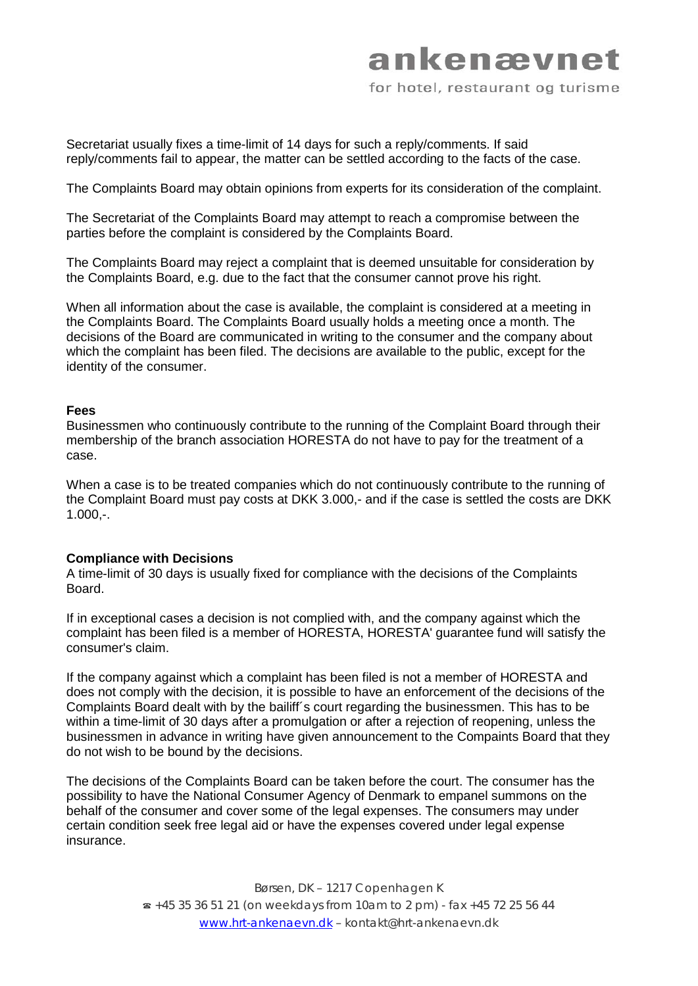Secretariat usually fixes a time-limit of 14 days for such a reply/comments. If said reply/comments fail to appear, the matter can be settled according to the facts of the case.

The Complaints Board may obtain opinions from experts for its consideration of the complaint.

The Secretariat of the Complaints Board may attempt to reach a compromise between the parties before the complaint is considered by the Complaints Board.

The Complaints Board may reject a complaint that is deemed unsuitable for consideration by the Complaints Board, e.g. due to the fact that the consumer cannot prove his right.

When all information about the case is available, the complaint is considered at a meeting in the Complaints Board. The Complaints Board usually holds a meeting once a month. The decisions of the Board are communicated in writing to the consumer and the company about which the complaint has been filed. The decisions are available to the public, except for the identity of the consumer.

#### **Fees**

Businessmen who continuously contribute to the running of the Complaint Board through their membership of the branch association HORESTA do not have to pay for the treatment of a case.

When a case is to be treated companies which do not continuously contribute to the running of the Complaint Board must pay costs at DKK 3.000,- and if the case is settled the costs are DKK 1.000,-.

#### **Compliance with Decisions**

A time-limit of 30 days is usually fixed for compliance with the decisions of the Complaints Board.

If in exceptional cases a decision is not complied with, and the company against which the complaint has been filed is a member of HORESTA, HORESTA' guarantee fund will satisfy the consumer's claim.

If the company against which a complaint has been filed is not a member of HORESTA and does not comply with the decision, it is possible to have an enforcement of the decisions of the Complaints Board dealt with by the bailiff´s court regarding the businessmen. This has to be within a time-limit of 30 days after a promulgation or after a rejection of reopening, unless the businessmen in advance in writing have given announcement to the Compaints Board that they do not wish to be bound by the decisions.

The decisions of the Complaints Board can be taken before the court. The consumer has the possibility to have the National Consumer Agency of Denmark to empanel summons on the behalf of the consumer and cover some of the legal expenses. The consumers may under certain condition seek free legal aid or have the expenses covered under legal expense insurance.

> Børsen, DK – 1217 Copenhagen K ☎ +45 35 36 51 21 (on weekdays from 10am to 2 pm) - fax +45 72 25 56 44 [www.hrt-ankenaevn.dk](http://www.hrt-ankenaevn.dk/) – kontakt@hrt-ankenaevn.dk